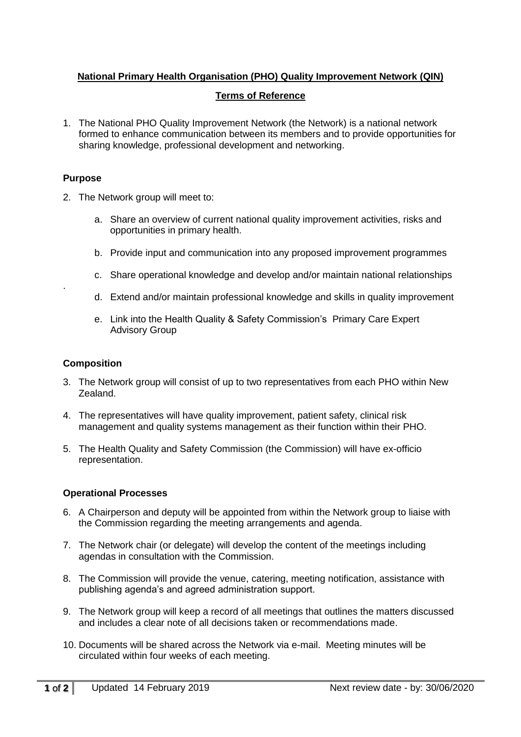# **National Primary Health Organisation (PHO) Quality Improvement Network (QIN)**

## **Terms of Reference**

1. The National PHO Quality Improvement Network (the Network) is a national network formed to enhance communication between its members and to provide opportunities for sharing knowledge, professional development and networking.

### **Purpose**

.

- 2. The Network group will meet to:
	- a. Share an overview of current national quality improvement activities, risks and opportunities in primary health.
	- b. Provide input and communication into any proposed improvement programmes
	- c. Share operational knowledge and develop and/or maintain national relationships
	- d. Extend and/or maintain professional knowledge and skills in quality improvement
	- e. Link into the Health Quality & Safety Commission's Primary Care Expert Advisory Group

### **Composition**

- 3. The Network group will consist of up to two representatives from each PHO within New Zealand.
- 4. The representatives will have quality improvement, patient safety, clinical risk management and quality systems management as their function within their PHO.
- 5. The Health Quality and Safety Commission (the Commission) will have ex-officio representation.

#### **Operational Processes**

- 6. A Chairperson and deputy will be appointed from within the Network group to liaise with the Commission regarding the meeting arrangements and agenda.
- 7. The Network chair (or delegate) will develop the content of the meetings including agendas in consultation with the Commission.
- 8. The Commission will provide the venue, catering, meeting notification, assistance with publishing agenda's and agreed administration support.
- 9. The Network group will keep a record of all meetings that outlines the matters discussed and includes a clear note of all decisions taken or recommendations made.
- 10. Documents will be shared across the Network via e-mail. Meeting minutes will be circulated within four weeks of each meeting.